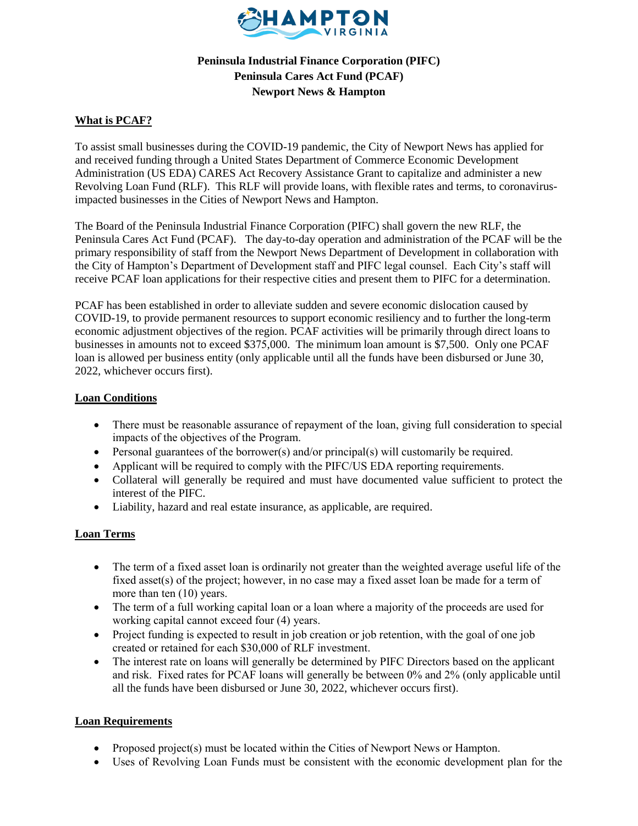

# **Peninsula Industrial Finance Corporation (PIFC) Peninsula Cares Act Fund (PCAF) Newport News & Hampton**

## **What is PCAF?**

To assist small businesses during the COVID-19 pandemic, the City of Newport News has applied for and received funding through a United States Department of Commerce Economic Development Administration (US EDA) CARES Act Recovery Assistance Grant to capitalize and administer a new Revolving Loan Fund (RLF). This RLF will provide loans, with flexible rates and terms, to coronavirusimpacted businesses in the Cities of Newport News and Hampton.

The Board of the Peninsula Industrial Finance Corporation (PIFC) shall govern the new RLF, the Peninsula Cares Act Fund (PCAF). The day-to-day operation and administration of the PCAF will be the primary responsibility of staff from the Newport News Department of Development in collaboration with the City of Hampton's Department of Development staff and PIFC legal counsel. Each City's staff will receive PCAF loan applications for their respective cities and present them to PIFC for a determination.

PCAF has been established in order to alleviate sudden and severe economic dislocation caused by COVID-19, to provide permanent resources to support economic resiliency and to further the long-term economic adjustment objectives of the region. PCAF activities will be primarily through direct loans to businesses in amounts not to exceed \$375,000. The minimum loan amount is \$7,500. Only one PCAF loan is allowed per business entity (only applicable until all the funds have been disbursed or June 30, 2022, whichever occurs first).

#### **Loan Conditions**

- There must be reasonable assurance of repayment of the loan, giving full consideration to special impacts of the objectives of the Program.
- Personal guarantees of the borrower(s) and/or principal(s) will customarily be required.
- Applicant will be required to comply with the PIFC/US EDA reporting requirements.
- Collateral will generally be required and must have documented value sufficient to protect the interest of the PIFC.
- Liability, hazard and real estate insurance, as applicable, are required.

#### **Loan Terms**

- The term of a fixed asset loan is ordinarily not greater than the weighted average useful life of the fixed asset(s) of the project; however, in no case may a fixed asset loan be made for a term of more than ten (10) years.
- The term of a full working capital loan or a loan where a majority of the proceeds are used for working capital cannot exceed four (4) years.
- Project funding is expected to result in job creation or job retention, with the goal of one job created or retained for each \$30,000 of RLF investment.
- The interest rate on loans will generally be determined by PIFC Directors based on the applicant and risk. Fixed rates for PCAF loans will generally be between 0% and 2% (only applicable until all the funds have been disbursed or June 30, 2022, whichever occurs first).

#### **Loan Requirements**

- Proposed project(s) must be located within the Cities of Newport News or Hampton.
- Uses of Revolving Loan Funds must be consistent with the economic development plan for the